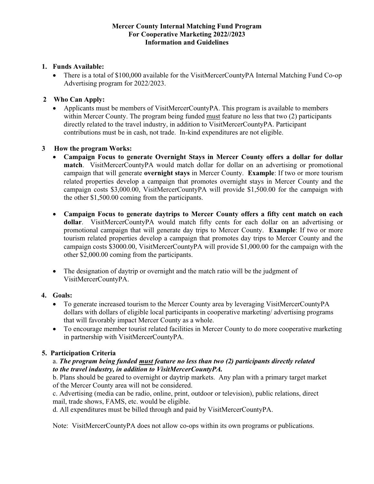#### **Mercer County Internal Matching Fund Program For Cooperative Marketing 2022//2023 Information and Guidelines**

### **1. Funds Available:**

• There is a total of \$100,000 available for the VisitMercerCountyPA Internal Matching Fund Co-op Advertising program for 2022/2023.

### **2 Who Can Apply:**

• Applicants must be members of VisitMercerCountyPA. This program is available to members within Mercer County. The program being funded must feature no less that two (2) participants directly related to the travel industry, in addition to VisitMercerCountyPA. Participant contributions must be in cash, not trade. In-kind expenditures are not eligible.

### **3 How the program Works:**

- **Campaign Focus to generate Overnight Stays in Mercer County offers a dollar for dollar match**. VisitMercerCountyPA would match dollar for dollar on an advertising or promotional campaign that will generate **overnight stays** in Mercer County. **Example**: If two or more tourism related properties develop a campaign that promotes overnight stays in Mercer County and the campaign costs \$3,000.00, VisitMercerCountyPA will provide \$1,500.00 for the campaign with the other \$1,500.00 coming from the participants.
- **Campaign Focus to generate daytrips to Mercer County offers a fifty cent match on each dollar**. VisitMercerCountyPA would match fifty cents for each dollar on an advertising or promotional campaign that will generate day trips to Mercer County. **Example**: If two or more tourism related properties develop a campaign that promotes day trips to Mercer County and the campaign costs \$3000.00, VisitMercerCountyPA will provide \$1,000.00 for the campaign with the other \$2,000.00 coming from the participants.
- The designation of daytrip or overnight and the match ratio will be the judgment of VisitMercerCountyPA.

### **4. Goals:**

- To generate increased tourism to the Mercer County area by leveraging VisitMercerCountyPA dollars with dollars of eligible local participants in cooperative marketing/ advertising programs that will favorably impact Mercer County as a whole.
- To encourage member tourist related facilities in Mercer County to do more cooperative marketing in partnership with VisitMercerCountyPA.

### **5. Participation Criteria**

### a. *The program being funded must feature no less than two (2) participants directly related to the travel industry, in addition to VisitMercerCountyPA.*

b. Plans should be geared to overnight or daytrip markets. Any plan with a primary target market of the Mercer County area will not be considered.

c. Advertising (media can be radio, online, print, outdoor or television), public relations, direct mail, trade shows, FAMS, etc. would be eligible.

d. All expenditures must be billed through and paid by VisitMercerCountyPA.

Note: VisitMercerCountyPA does not allow co-ops within its own programs or publications.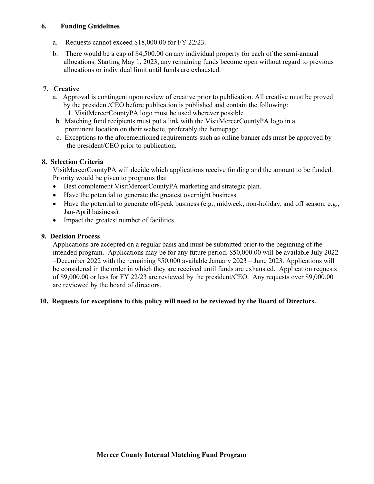### **6. Funding Guidelines**

- a. Requests cannot exceed \$18,000.00 for FY 22/23.
- b. There would be a cap of \$4,500.00 on any individual property for each of the semi-annual allocations. Starting May 1, 2023, any remaining funds become open without regard to previous allocations or individual limit until funds are exhausted.

# **7. Creative**

- a. Approval is contingent upon review of creative prior to publication. All creative must be proved by the president/CEO before publication is published and contain the following:
	- 1. VisitMercerCountyPA logo must be used wherever possible
- b. Matching fund recipients must put a link with the VisitMercerCountyPA logo in a prominent location on their website, preferably the homepage.
- c. Exceptions to the aforementioned requirements such as online banner ads must be approved by the president/CEO prior to publication.

## **8. Selection Criteria**

VisitMercerCountyPA will decide which applications receive funding and the amount to be funded. Priority would be given to programs that:

- Best complement VisitMercerCountyPA marketing and strategic plan.
- Have the potential to generate the greatest overnight business.
- Have the potential to generate off-peak business (e.g., midweek, non-holiday, and off season, e.g., Jan-April business).
- Impact the greatest number of facilities.

## **9. Decision Process**

Applications are accepted on a regular basis and must be submitted prior to the beginning of the intended program. Applications may be for any future period. \$50,000.00 will be available July 2022 –December 2022 with the remaining \$50,000 available January 2023 – June 2023. Applications will be considered in the order in which they are received until funds are exhausted. Application requests of \$9,000.00 or less for FY 22/23 are reviewed by the president/CEO. Any requests over \$9,000.00 are reviewed by the board of directors.

## **10. Requests for exceptions to this policy will need to be reviewed by the Board of Directors.**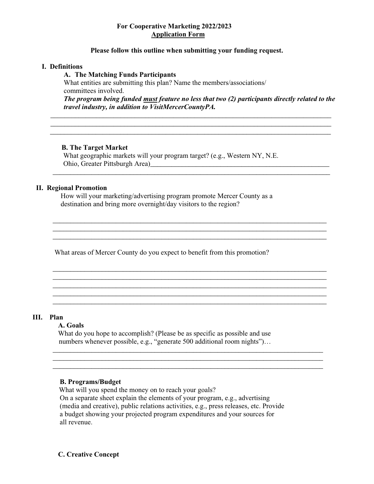### **For Cooperative Marketing 2022/2023 Application Form**

#### **Please follow this outline when submitting your funding request.**

#### **I. Definitions**

#### **A. The Matching Funds Participants**

What entities are submitting this plan? Name the members/associations/ committees involved.

*The program being funded must feature no less that two (2) participants directly related to the travel industry, in addition to VisitMercerCountyPA.*

\_\_\_\_\_\_\_\_\_\_\_\_\_\_\_\_\_\_\_\_\_\_\_\_\_\_\_\_\_\_\_\_\_\_\_\_\_\_\_\_\_\_\_\_\_\_\_\_\_\_\_\_\_\_\_\_\_\_\_\_\_\_\_\_\_\_\_\_\_\_\_\_\_\_\_\_\_\_

\_\_\_\_\_\_\_\_\_\_\_\_\_\_\_\_\_\_\_\_\_\_\_\_\_\_\_\_\_\_\_\_\_\_\_\_\_\_\_\_\_\_\_\_\_\_\_\_\_\_\_\_\_\_\_\_\_\_\_\_\_\_\_\_\_\_\_\_\_\_\_\_\_\_\_\_\_\_

\_\_\_\_\_\_\_\_\_\_\_\_\_\_\_\_\_\_\_\_\_\_\_\_\_\_\_\_\_\_\_\_\_\_\_\_\_\_\_\_\_\_\_\_\_\_\_\_\_\_\_\_\_\_\_\_\_\_\_\_\_\_\_\_\_\_\_\_\_\_\_\_\_\_\_\_\_\_ \_\_\_\_\_\_\_\_\_\_\_\_\_\_\_\_\_\_\_\_\_\_\_\_\_\_\_\_\_\_\_\_\_\_\_\_\_\_\_\_\_\_\_\_\_\_\_\_\_\_\_\_\_\_\_\_\_\_\_\_\_\_\_\_\_\_\_\_\_\_\_\_\_\_\_\_\_\_

\_\_\_\_\_\_\_\_\_\_\_\_\_\_\_\_\_\_\_\_\_\_\_\_\_\_\_\_\_\_\_\_\_\_\_\_\_\_\_\_\_\_\_\_\_\_\_\_\_\_\_\_\_\_\_\_\_\_\_\_\_\_\_\_\_\_\_\_\_\_\_\_\_\_\_\_\_\_

\_\_\_\_\_\_\_\_\_\_\_\_\_\_\_\_\_\_\_\_\_\_\_\_\_\_\_\_\_\_\_\_\_\_\_\_\_\_\_\_\_\_\_\_\_\_\_\_\_\_\_\_\_\_\_\_\_\_\_\_\_\_\_\_\_\_\_\_\_\_\_\_\_\_\_\_\_

**\_\_\_\_\_\_\_\_\_\_\_\_\_\_\_\_\_\_\_\_\_\_\_\_\_\_\_\_\_\_\_\_\_\_\_\_\_\_\_\_\_\_\_\_\_\_\_\_\_\_\_\_\_\_\_\_\_\_\_\_\_\_\_\_\_\_\_\_\_\_\_\_\_\_\_\_\_\_\_\_ \_\_\_\_\_\_\_\_\_\_\_\_\_\_\_\_\_\_\_\_\_\_\_\_\_\_\_\_\_\_\_\_\_\_\_\_\_\_\_\_\_\_\_\_\_\_\_\_\_\_\_\_\_\_\_\_\_\_\_\_\_\_\_\_\_\_\_\_\_\_\_\_\_\_\_\_\_\_\_\_**

#### **B. The Target Market**

 What geographic markets will your program target? (e.g., Western NY, N.E. Ohio, Greater Pittsburgh Area)\_\_\_\_\_\_\_\_\_\_\_\_\_\_\_\_\_\_\_\_\_\_\_\_\_\_\_\_\_\_\_\_\_\_\_\_\_\_\_\_\_\_\_\_\_\_\_\_\_\_\_

#### **II. Regional Promotion**

How will your marketing/advertising program promote Mercer County as a destination and bring more overnight/day visitors to the region?

What areas of Mercer County do you expect to benefit from this promotion?

#### **III. Plan**

### **A. Goals**

What do you hope to accomplish? (Please be as specific as possible and use numbers whenever possible, e.g., "generate 500 additional room nights")…

#### **B. Programs/Budget**

What will you spend the money on to reach your goals? On a separate sheet explain the elements of your program, e.g., advertising (media and creative), public relations activities, e.g., press releases, etc. Provide a budget showing your projected program expenditures and your sources for all revenue.